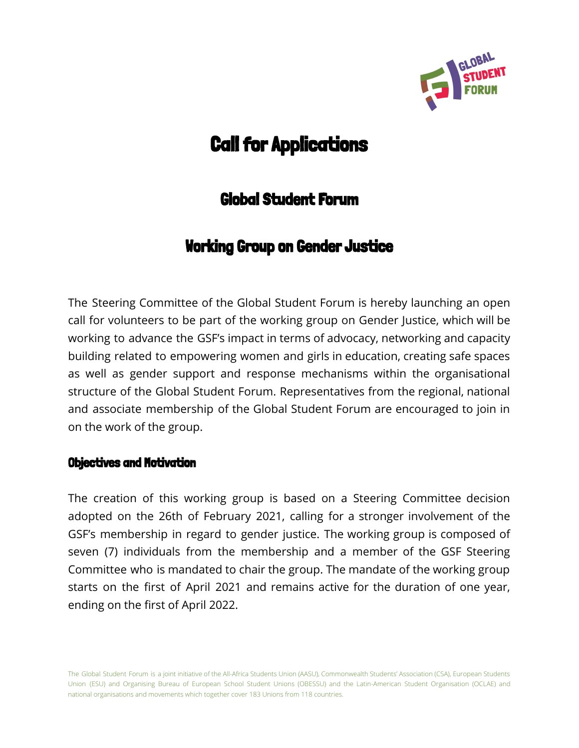

# **Call for Applications**

# Global Student Forum

# Working Group on Gender Justice

The Steering Committee of the Global Student Forum is hereby launching an open call for volunteers to be part of the working group on Gender Justice, which will be working to advance the GSF's impact in terms of advocacy, networking and capacity building related to empowering women and girls in education, creating safe spaces as well as gender support and response mechanisms within the organisational structure of the Global Student Forum. Representatives from the regional, national and associate membership of the Global Student Forum are encouraged to join in on the work of the group.

## Objectives and Motivation

The creation of this working group is based on a Steering Committee decision adopted on the 26th of February 2021, calling for a stronger involvement of the GSF's membership in regard to gender justice. The working group is composed of seven (7) individuals from the membership and a member of the GSF Steering Committee who is mandated to chair the group. The mandate of the working group starts on the first of April 2021 and remains active for the duration of one year, ending on the first of April 2022.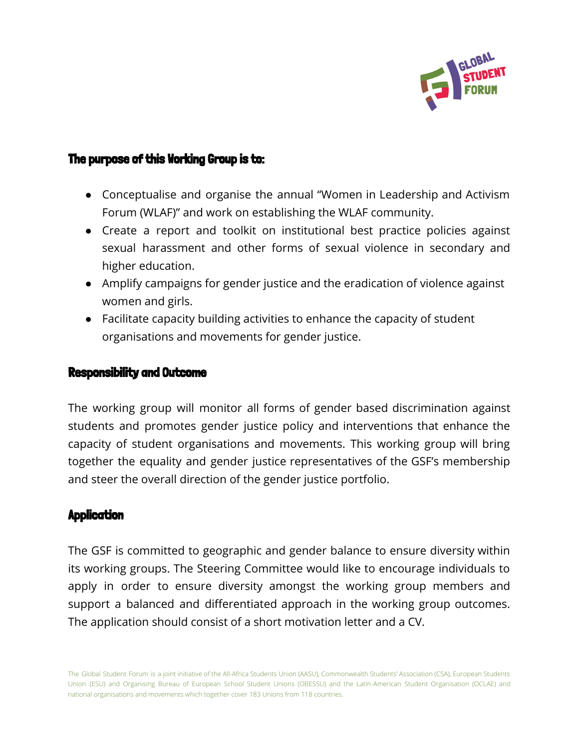

## The purpose of this Working Group is to:

- Conceptualise and organise the annual "Women in Leadership and Activism Forum (WLAF)" and work on establishing the WLAF community.
- Create a report and toolkit on institutional best practice policies against sexual harassment and other forms of sexual violence in secondary and higher education.
- Amplify campaigns for gender justice and the eradication of violence against women and girls.
- Facilitate capacity building activities to enhance the capacity of student organisations and movements for gender justice.

#### Responsibility and Outcome

The working group will monitor all forms of gender based discrimination against students and promotes gender justice policy and interventions that enhance the capacity of student organisations and movements. This working group will bring together the equality and gender justice representatives of the GSF's membership and steer the overall direction of the gender justice portfolio.

#### **Application**

The GSF is committed to geographic and gender balance to ensure diversity within its working groups. The Steering Committee would like to encourage individuals to apply in order to ensure diversity amongst the working group members and support a balanced and differentiated approach in the working group outcomes. The application should consist of a short motivation letter and a CV.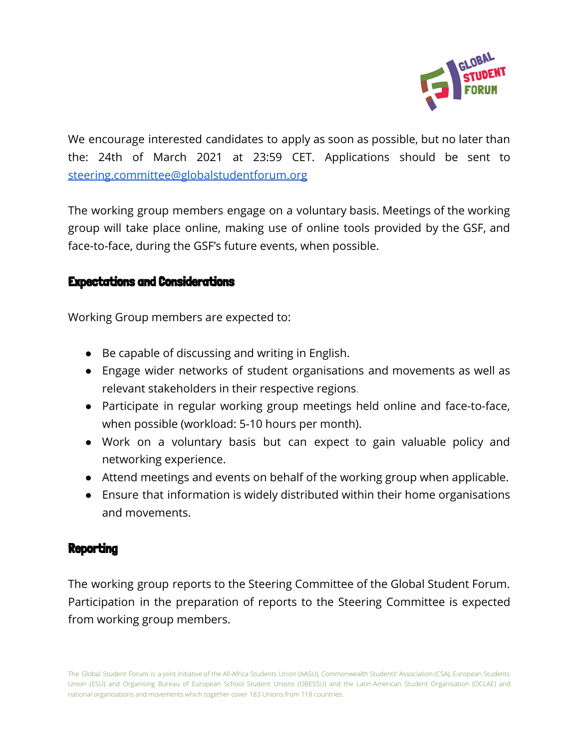

We encourage interested candidates to apply as soon as possible, but no later than the: 24th of March 2021 at 23:59 CET. Applications should be sent to [steering.committee@globalstudentforum.org](mailto:steering.committee@globalstudentforum.org)

The working group members engage on a voluntary basis. Meetings of the working group will take place online, making use of online tools provided by the GSF, and face-to-face, during the GSF's future events, when possible.

### Expectations and Considerations

Working Group members are expected to:

- Be capable of discussing and writing in English.
- Engage wider networks of student organisations and movements as well as relevant stakeholders in their respective regions.
- Participate in regular working group meetings held online and face-to-face, when possible (workload: 5-10 hours per month).
- Work on a voluntary basis but can expect to gain valuable policy and networking experience.
- Attend meetings and events on behalf of the working group when applicable.
- Ensure that information is widely distributed within their home organisations and movements.

# **Reporting**

The working group reports to the Steering Committee of the Global Student Forum. Participation in the preparation of reports to the Steering Committee is expected from working group members.